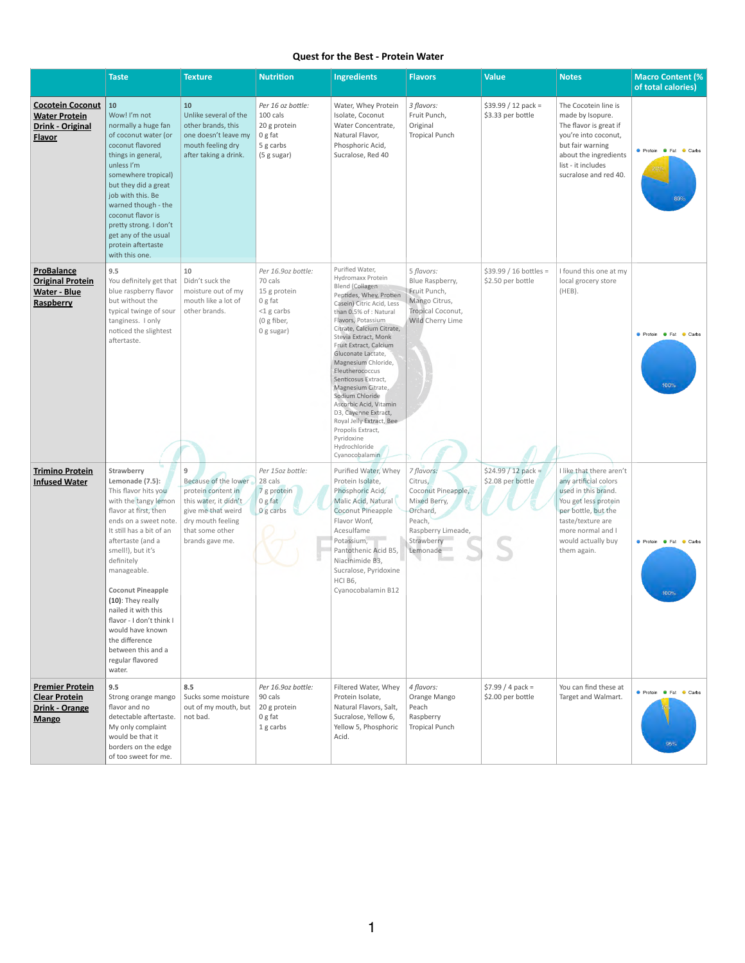## **Quest for the Best - Protein Water**

|                                                                                         | <b>Taste</b>                                                                                                                                                                                                                                                                                                                                                                                                                     | <b>Texture</b>                                                                                                                                            | <b>Nutrition</b>                                                                                       | <b>Ingredients</b>                                                                                                                                                                                                                                                                                                                                                                                                                                                                                                                 | <b>Flavors</b>                                                                                                                    | <b>Value</b>                                 | <b>Notes</b>                                                                                                                                                                                           | <b>Macro Content (%)</b><br>of total calories) |
|-----------------------------------------------------------------------------------------|----------------------------------------------------------------------------------------------------------------------------------------------------------------------------------------------------------------------------------------------------------------------------------------------------------------------------------------------------------------------------------------------------------------------------------|-----------------------------------------------------------------------------------------------------------------------------------------------------------|--------------------------------------------------------------------------------------------------------|------------------------------------------------------------------------------------------------------------------------------------------------------------------------------------------------------------------------------------------------------------------------------------------------------------------------------------------------------------------------------------------------------------------------------------------------------------------------------------------------------------------------------------|-----------------------------------------------------------------------------------------------------------------------------------|----------------------------------------------|--------------------------------------------------------------------------------------------------------------------------------------------------------------------------------------------------------|------------------------------------------------|
| <b>Cocotein Coconut</b><br><b>Water Protein</b><br>Drink - Original<br><b>Flavor</b>    | 10<br>Wow! I'm not<br>normally a huge fan<br>of coconut water (or<br>coconut flavored<br>things in general,<br>unless I'm<br>somewhere tropical)<br>but they did a great<br>job with this. Be<br>warned though - the<br>coconut flavor is<br>pretty strong. I don't<br>get any of the usual<br>protein aftertaste<br>with this one.                                                                                              | 10<br>Unlike several of the<br>other brands, this<br>one doesn't leave my<br>mouth feeling dry<br>after taking a drink.                                   | Per 16 oz bottle:<br>100 cals<br>20 g protein<br>0 g fat<br>5 g carbs<br>(5 g sugar)                   | Water, Whey Protein<br>Isolate, Coconut<br>Water Concentrate,<br>Natural Flavor,<br>Phosphoric Acid,<br>Sucralose, Red 40                                                                                                                                                                                                                                                                                                                                                                                                          | 3 flavors:<br>Fruit Punch,<br>Original<br><b>Tropical Punch</b>                                                                   | $$39.99 / 12$ pack =<br>\$3.33 per bottle    | The Cocotein line is<br>made by Isopure.<br>The flavor is great if<br>you're into coconut,<br>but fair warning<br>about the ingredients<br>list - it includes<br>sucralose and red 40.                 | ● Protein ● Fat ● Carbs                        |
| ProBalance<br><b>Original Protein</b><br><b>Water - Blue</b><br>Raspberry               | 9.5<br>You definitely get that   Didn't suck the<br>blue raspberry flavor<br>but without the<br>typical twinge of sour<br>tanginess. I only<br>noticed the slightest<br>aftertaste.                                                                                                                                                                                                                                              | 10<br>moisture out of my<br>mouth like a lot of<br>other brands.                                                                                          | Per 16.9oz bottle:<br>70 cals<br>15 g protein<br>0 g fat<br>$<$ 1 g carbs<br>(0 g fiber,<br>0 g sugar) | Purified Water,<br>Hydromaxx Protein<br>Blend (Collagen<br>Peptides, Whey, Protien<br>Casein) Citric Acid, Less<br>than 0.5% of : Natural<br>Flavors, Potassium<br>Citrate, Calcium Citrate,<br>Stevia Extract, Monk<br>Fruit Extract, Calcium<br>Gluconate Lactate,<br>Magnesium Chloride,<br>Eleutherococcus<br>Senticosus Extract,<br>Magnesium Citrate,<br>Sodium Chloride<br>Ascorbic Acid, Vitamin<br>D3, Cayenne Extract,<br>Royal Jelly Extract, Bee<br>Propolis Extract,<br>Pyridoxine<br>Hydrochloride<br>Cyanocobalamin | 5 flavors:<br>Blue Raspberry,<br>Fruit Punch,<br>Mango Citrus,<br>Tropical Coconut,<br>Wild Cherry Lime                           | $$39.99 / 16$ bottles =<br>\$2.50 per bottle | I found this one at my<br>local grocery store<br>(HEB).                                                                                                                                                | ● Protein ● Fat ● Carbs<br>100%                |
| <b>Trimino Protein</b><br><b>Infused Water</b>                                          | Strawberry<br>Lemonade (7.5):<br>This flavor hits you<br>with the tangy lemon<br>flavor at first, then<br>ends on a sweet note.<br>It still has a bit of an<br>aftertaste (and a<br>smell!), but it's<br>definitely<br>manageable.<br><b>Coconut Pineapple</b><br>(10): They really<br>nailed it with this<br>flavor - I don't think I<br>would have known<br>the difference<br>between this and a<br>regular flavored<br>water. | 9<br>Because of the lower<br>protein content in<br>this water, it didn't<br>give me that weird<br>dry mouth feeling<br>that some other<br>brands gave me. | Per 15oz bottle:<br>28 cals<br>7 g protein<br>0g fat<br>$0 g$ carbs                                    | Purified Water, Whey<br>Protein Isolate,<br>Phosphoric Acid,<br>Malic Acid, Natural<br>Coconut Pineapple<br>Flavor Wonf,<br>Acesulfame<br>Potassium,<br>Pantothenic Acid B5,<br>Niacinimide B3,<br>Sucralose, Pyridoxine<br>HCI B6,<br>Cyanocobalamin B12                                                                                                                                                                                                                                                                          | 7 flavors:<br>Citrus,<br>Coconut Pineapple,<br>Mixed Berry,<br>Orchard,<br>Peach,<br>Raspberry Limeade,<br>Strawberry<br>Lemonade | $$24.99 / 12$ pack =<br>\$2.08 per bottle    | I like that there aren't<br>any artificial colors<br>used in this brand.<br>You get less protein<br>per bottle, but the<br>taste/texture are<br>more normal and I<br>would actually buy<br>them again. | ● Protein ● Fat ● Carbs<br>100%                |
| <b>Premier Protein</b><br><b>Clear Protein</b><br><b>Drink - Orange</b><br><b>Mango</b> | 9.5<br>Strong orange mango<br>flavor and no<br>detectable aftertaste.<br>My only complaint<br>would be that it<br>borders on the edge<br>of too sweet for me.                                                                                                                                                                                                                                                                    | 8.5<br>Sucks some moisture<br>out of my mouth, but<br>not bad.                                                                                            | Per 16.9oz bottle:<br>90 cals<br>20 g protein<br>0 g fat<br>1 g carbs                                  | Filtered Water, Whey<br>Protein Isolate,<br>Natural Flavors, Salt,<br>Sucralose, Yellow 6,<br>Yellow 5, Phosphoric<br>Acid.                                                                                                                                                                                                                                                                                                                                                                                                        | 4 flavors:<br>Orange Mango<br>Peach<br>Raspberry<br><b>Tropical Punch</b>                                                         | $$7.99 / 4$ pack =<br>\$2.00 per bottle      | You can find these at<br>Target and Walmart.                                                                                                                                                           | ● Protein ● Fat ● Carbs<br>95%                 |

1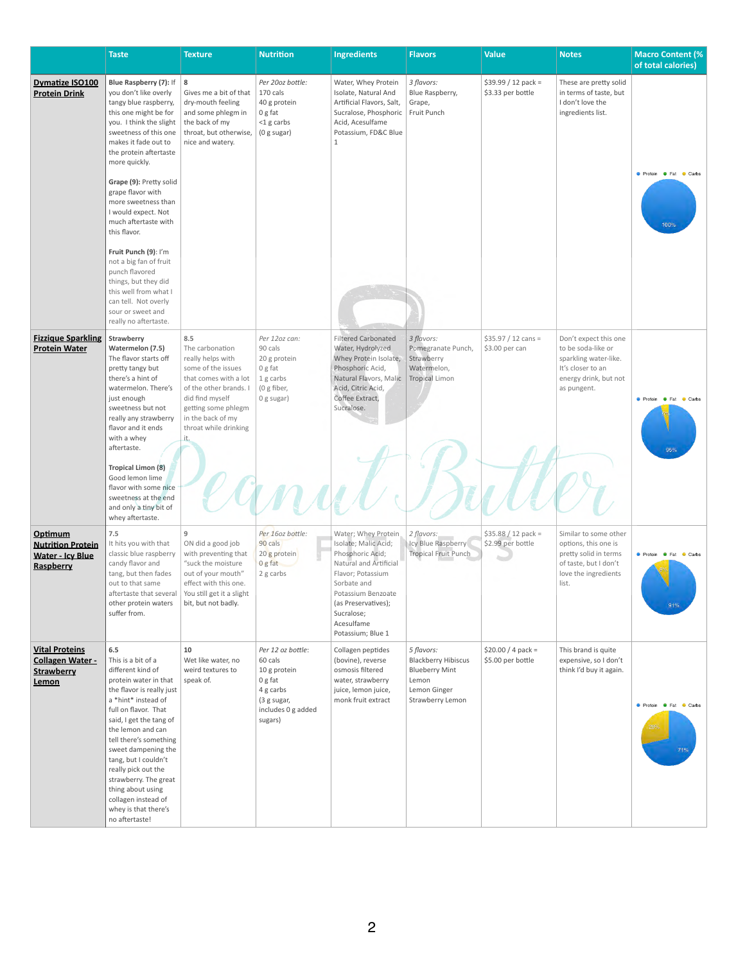|                                                                             | <b>Taste</b>                                                                                                                                                                                                                                                                                                                                                                                                                                                                                                                                                  | <b>Texture</b>                                                                                                                                                                                               | <b>Nutrition</b>                                                                                                     | <b>Ingredients</b>                                                                                                                                                                                                          | <b>Flavors</b>                                                                                                 | <b>Value</b>                                   | <b>Notes</b>                                                                                                                      | <b>Macro Content (%</b><br>of total calories)            |
|-----------------------------------------------------------------------------|---------------------------------------------------------------------------------------------------------------------------------------------------------------------------------------------------------------------------------------------------------------------------------------------------------------------------------------------------------------------------------------------------------------------------------------------------------------------------------------------------------------------------------------------------------------|--------------------------------------------------------------------------------------------------------------------------------------------------------------------------------------------------------------|----------------------------------------------------------------------------------------------------------------------|-----------------------------------------------------------------------------------------------------------------------------------------------------------------------------------------------------------------------------|----------------------------------------------------------------------------------------------------------------|------------------------------------------------|-----------------------------------------------------------------------------------------------------------------------------------|----------------------------------------------------------|
| <b>Dymatize ISO100</b><br><b>Protein Drink</b>                              | Blue Raspberry (7): If   8<br>you don't like overly<br>tangy blue raspberry,<br>this one might be for<br>you. I think the slight<br>sweetness of this one<br>makes it fade out to<br>the protein aftertaste<br>more quickly.<br>Grape (9): Pretty solid<br>grape flavor with<br>more sweetness than<br>I would expect. Not<br>much aftertaste with<br>this flavor.<br>Fruit Punch (9): I'm<br>not a big fan of fruit<br>punch flavored<br>things, but they did<br>this well from what I<br>can tell. Not overly<br>sour or sweet and<br>really no aftertaste. | Gives me a bit of that<br>dry-mouth feeling<br>and some phlegm in<br>the back of my<br>throat, but otherwise,<br>nice and watery.                                                                            | Per 20oz bottle:<br>170 cals<br>40 g protein<br>0 g fat<br><1 g carbs<br>(0 g sugar)                                 | Water, Whey Protein<br>Isolate, Natural And<br>Artificial Flavors, Salt,<br>Sucralose, Phosphoric   Fruit Punch<br>Acid, Acesulfame<br>Potassium, FD&C Blue<br>1                                                            | 3 flavors:<br>Blue Raspberry,<br>Grape,                                                                        | $$39.99 / 12$ pack =<br>\$3.33 per bottle      | These are pretty solid<br>in terms of taste, but<br>I don't love the<br>ingredients list.                                         | <b>C</b> Protein <b>C</b> Fat<br>$\bullet$ Carbs<br>100% |
| <b>Fizzique Sparkling</b><br><b>Protein Water</b>                           | Strawberry<br>Watermelon (7.5)<br>The flavor starts off<br>pretty tangy but<br>there's a hint of<br>watermelon. There's<br>just enough<br>sweetness but not<br>really any strawberry<br>flavor and it ends<br>with a whey<br>aftertaste.<br><b>Tropical Limon (8)</b><br>Good lemon lime<br>flavor with some nice<br>sweetness at the end<br>and only a tiny bit of<br>whey aftertaste.                                                                                                                                                                       | 8.5<br>The carbonation<br>really helps with<br>some of the issues<br>that comes with a lot<br>of the other brands. I<br>did find myself<br>getting some phlegm<br>in the back of my<br>throat while drinking | Per 12oz can:<br>90 cals<br>20 g protein<br>0 g fat<br>1 g carbs<br>(0 g fiber,<br>0 g sugar)                        | <b>Filtered Carbonated</b><br>Water, Hydrolyzed<br>Whey Protein Isolate,<br>Phosphoric Acid,<br>Natural Flavors, Malic   Tropical Limon<br>Acid, Citric Acid,<br>Coffee Extract,<br>Sucralose.                              | 3 flavors:<br>Pomegranate Punch,<br>Strawberry<br>Watermelon,                                                  | $$35.97 / 12 \text{ cans} =$<br>\$3.00 per can | Don't expect this one<br>to be soda-like or<br>sparkling water-like.<br>It's closer to an<br>energy drink, but not<br>as pungent. | $\bullet$ Fat<br>$\bullet$ Carbs<br><b>•</b> Protein     |
| Optimum<br><b>Nutrition Protein</b><br><b>Water - Icy Blue</b><br>Raspberry | 7.5<br>It hits you with that<br>classic blue raspberry<br>candy flavor and<br>tang, but then fades<br>out to that same<br>aftertaste that several<br>other protein waters<br>suffer from.                                                                                                                                                                                                                                                                                                                                                                     | 9<br>ON did a good job<br>with preventing that<br>"suck the moisture<br>out of your mouth"<br>effect with this one.<br>You still get it a slight<br>bit, but not badly.                                      | Per 16oz bottle:<br>90 cals<br>20 g protein<br>0 g fat<br>2 g carbs                                                  | Water; Whey Protein<br>Isolate; Malic Acid;<br>Phosphoric Acid;<br>Natural and Artificial<br>Flavor; Potassium<br>Sorbate and<br>Potassium Benzoate<br>(as Preservatives);<br>Sucralose;<br>Acesulfame<br>Potassium; Blue 1 | 2 flavors:<br>Icy Blue Raspberry<br><b>Tropical Fruit Punch</b>                                                | $$35.88 / 12$ pack =<br>\$2.99 per bottle      | Similar to some other<br>options, this one is<br>pretty solid in terms<br>of taste, but I don't<br>love the ingredients<br>list.  | • Protein<br>$\bullet$ Fat<br>$\bullet$ Carbs<br>91%     |
| <b>Vital Proteins</b><br><b>Collagen Water -</b><br>Strawberry<br>Lemon     | 6.5<br>This is a bit of a<br>different kind of<br>protein water in that<br>the flavor is really just<br>a *hint* instead of<br>full on flavor. That<br>said, I get the tang of<br>the lemon and can<br>tell there's something<br>sweet dampening the<br>tang, but I couldn't<br>really pick out the<br>strawberry. The great<br>thing about using<br>collagen instead of<br>whey is that there's<br>no aftertaste!                                                                                                                                            | 10<br>Wet like water, no<br>weird textures to<br>speak of.                                                                                                                                                   | Per 12 oz bottle:<br>60 cals<br>10 g protein<br>0 g fat<br>4 g carbs<br>(3 g sugar,<br>includes 0 g added<br>sugars) | Collagen peptides<br>(bovine), reverse<br>osmosis filtered<br>water, strawberry<br>juice, lemon juice,<br>monk fruit extract                                                                                                | 5 flavors:<br><b>Blackberry Hibiscus</b><br><b>Blueberry Mint</b><br>Lemon<br>Lemon Ginger<br>Strawberry Lemon | $$20.00 / 4$ pack =<br>\$5.00 per bottle       | This brand is quite<br>expensive, so I don't<br>think I'd buy it again.                                                           | <b>Protein # Fat</b><br>Carbs<br>71%                     |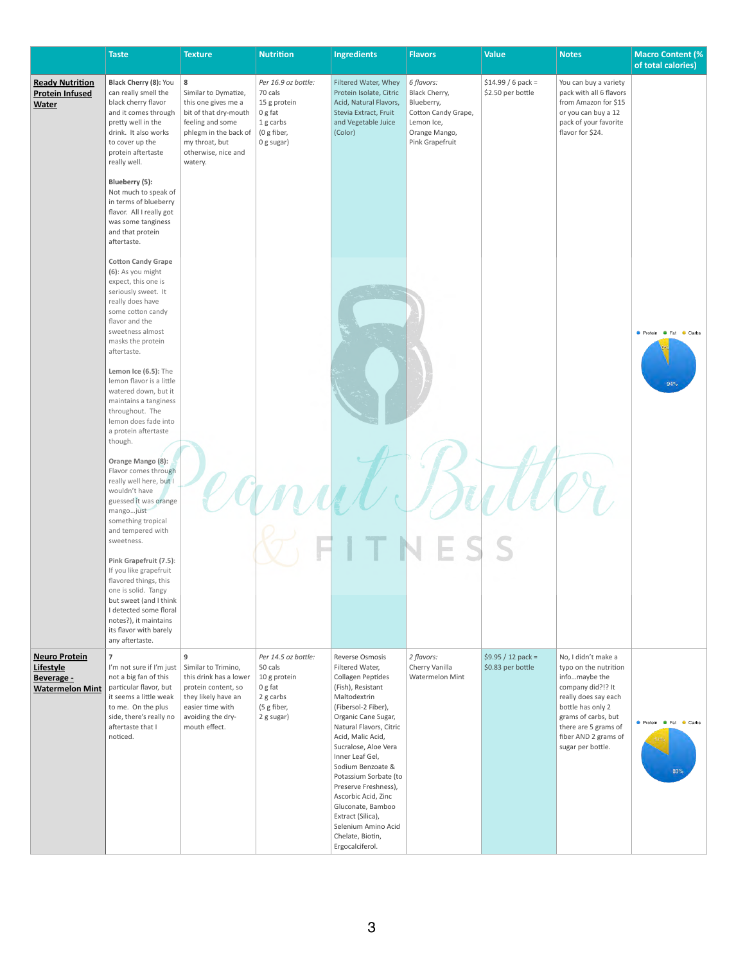|                                                                           | <b>Taste</b>                                                                                                                                                                                                                                  | <b>Texture</b>                                                                                                                                                             | <b>Nutrition</b>                                                                                    | <b>Ingredients</b>                                                                                                                                                                                                                                                                                                                                                                                                                         | <b>Flavors</b>                                                                                                     | <b>Value</b>                             | <b>Notes</b>                                                                                                                                                                                                                | <b>Macro Content (%)</b><br>of total calories)       |
|---------------------------------------------------------------------------|-----------------------------------------------------------------------------------------------------------------------------------------------------------------------------------------------------------------------------------------------|----------------------------------------------------------------------------------------------------------------------------------------------------------------------------|-----------------------------------------------------------------------------------------------------|--------------------------------------------------------------------------------------------------------------------------------------------------------------------------------------------------------------------------------------------------------------------------------------------------------------------------------------------------------------------------------------------------------------------------------------------|--------------------------------------------------------------------------------------------------------------------|------------------------------------------|-----------------------------------------------------------------------------------------------------------------------------------------------------------------------------------------------------------------------------|------------------------------------------------------|
| <b>Ready Nutrition</b><br><b>Protein Infused</b><br><b>Water</b>          | Black Cherry (8): You<br>can really smell the<br>black cherry flavor<br>and it comes through<br>pretty well in the<br>drink. It also works<br>to cover up the<br>protein aftertaste<br>really well.<br>Blueberry (5):<br>Not much to speak of | 8<br>Similar to Dymatize,<br>this one gives me a<br>bit of that dry-mouth<br>feeling and some<br>phlegm in the back of<br>my throat, but<br>otherwise, nice and<br>watery. | Per 16.9 oz bottle:<br>70 cals<br>15 g protein<br>0 g fat<br>1 g carbs<br>(0 g fiber,<br>0 g sugar) | Filtered Water, Whey<br>Protein Isolate, Citric<br>Acid, Natural Flavors,<br>Stevia Extract, Fruit<br>and Vegetable Juice<br>(Color)                                                                                                                                                                                                                                                                                                       | 6 flavors:<br>Black Cherry,<br>Blueberry,<br>Cotton Candy Grape,<br>Lemon Ice,<br>Orange Mango,<br>Pink Grapefruit | $$14.99 / 6$ pack =<br>\$2.50 per bottle | You can buy a variety<br>pack with all 6 flavors<br>from Amazon for \$15<br>or you can buy a 12<br>pack of your favorite<br>flavor for \$24.                                                                                |                                                      |
|                                                                           | in terms of blueberry<br>flavor. All I really got<br>was some tanginess<br>and that protein<br>aftertaste.                                                                                                                                    |                                                                                                                                                                            |                                                                                                     |                                                                                                                                                                                                                                                                                                                                                                                                                                            |                                                                                                                    |                                          |                                                                                                                                                                                                                             |                                                      |
|                                                                           | <b>Cotton Candy Grape</b><br>(6): As you might<br>expect, this one is<br>seriously sweet. It<br>really does have<br>some cotton candy<br>flavor and the<br>sweetness almost<br>masks the protein<br>aftertaste.                               |                                                                                                                                                                            |                                                                                                     |                                                                                                                                                                                                                                                                                                                                                                                                                                            |                                                                                                                    |                                          |                                                                                                                                                                                                                             | ● Protein ● Fat ● Carbs                              |
|                                                                           | Lemon Ice (6.5): The<br>lemon flavor is a little<br>watered down, but it<br>maintains a tanginess<br>throughout. The<br>lemon does fade into<br>a protein aftertaste<br>though.                                                               |                                                                                                                                                                            |                                                                                                     |                                                                                                                                                                                                                                                                                                                                                                                                                                            |                                                                                                                    |                                          |                                                                                                                                                                                                                             | 94%                                                  |
|                                                                           | Orange Mango (8):<br>Flavor comes through<br>really well here, but I<br>wouldn't have<br>guessed it was orange<br>mangojust<br>something tropical<br>and tempered with<br>sweetness.                                                          |                                                                                                                                                                            |                                                                                                     |                                                                                                                                                                                                                                                                                                                                                                                                                                            |                                                                                                                    |                                          |                                                                                                                                                                                                                             |                                                      |
|                                                                           | Pink Grapefruit (7.5):<br>If you like grapefruit<br>flavored things, this<br>one is solid. Tangy<br>but sweet (and I think<br>I detected some floral<br>notes?), it maintains<br>its flavor with barely<br>any aftertaste.                    |                                                                                                                                                                            |                                                                                                     |                                                                                                                                                                                                                                                                                                                                                                                                                                            |                                                                                                                    |                                          |                                                                                                                                                                                                                             |                                                      |
| <b>Neuro Protein</b><br>Lifestyle<br>Beverage -<br><b>Watermelon Mint</b> | I'm not sure if I'm just   Similar to Trimino,<br>not a big fan of this<br>particular flavor, but<br>it seems a little weak<br>to me. On the plus<br>side, there's really no<br>aftertaste that I<br>noticed.                                 | 9<br>this drink has a lower<br>protein content, so<br>they likely have an<br>easier time with<br>avoiding the dry-<br>mouth effect.                                        | Per 14.5 oz bottle:<br>50 cals<br>10 g protein<br>0 g fat<br>2 g carbs<br>(5 g fiber,<br>2 g sugar) | Reverse Osmosis<br>Filtered Water,<br>Collagen Peptides<br>(Fish), Resistant<br>Maltodextrin<br>(Fibersol-2 Fiber),<br>Organic Cane Sugar,<br>Natural Flavors, Citric<br>Acid, Malic Acid,<br>Sucralose, Aloe Vera<br>Inner Leaf Gel,<br>Sodium Benzoate &<br>Potassium Sorbate (to<br>Preserve Freshness),<br>Ascorbic Acid, Zinc<br>Gluconate, Bamboo<br>Extract (Silica),<br>Selenium Amino Acid<br>Chelate, Biotin,<br>Ergocalciferol. | 2 flavors:<br>Cherry Vanilla<br>Watermelon Mint                                                                    | $$9.95 / 12$ pack =<br>\$0.83 per bottle | No, I didn't make a<br>typo on the nutrition<br>infomaybe the<br>company did?!? It<br>really does say each<br>bottle has only 2<br>grams of carbs, but<br>there are 5 grams of<br>fiber AND 2 grams of<br>sugar per bottle. | <b>O</b> Protein <b>C</b> Fat<br>Carbs<br>17%<br>83% |

3